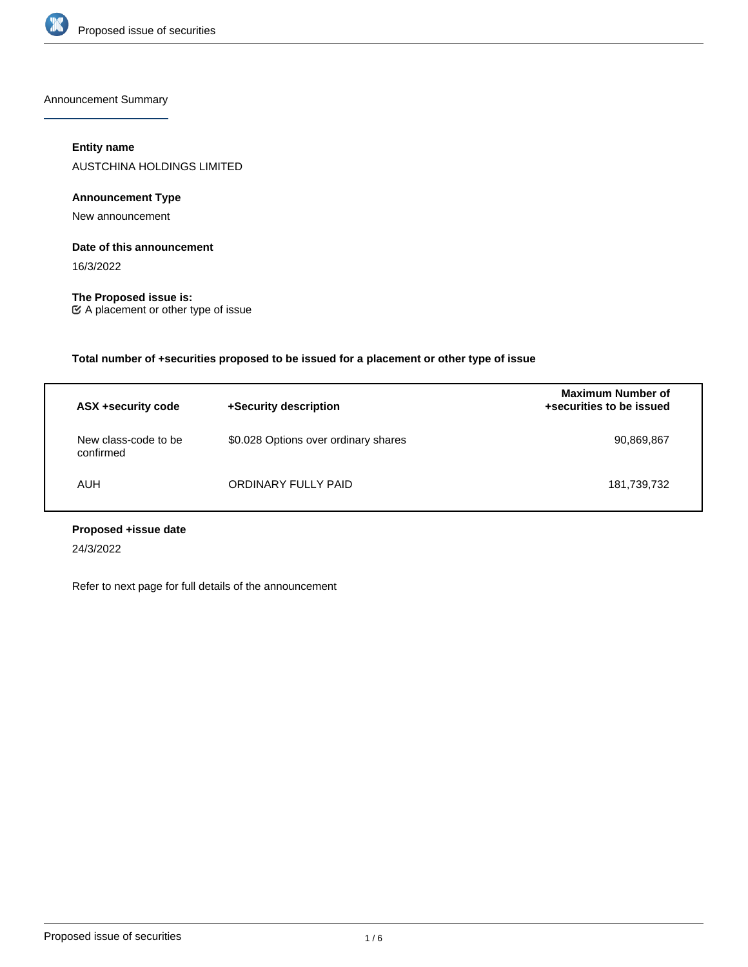

Announcement Summary

# **Entity name**

AUSTCHINA HOLDINGS LIMITED

# **Announcement Type**

New announcement

### **Date of this announcement**

16/3/2022

**The Proposed issue is:** A placement or other type of issue

**Total number of +securities proposed to be issued for a placement or other type of issue**

| ASX +security code                | +Security description                | <b>Maximum Number of</b><br>+securities to be issued |
|-----------------------------------|--------------------------------------|------------------------------------------------------|
| New class-code to be<br>confirmed | \$0.028 Options over ordinary shares | 90,869,867                                           |
| <b>AUH</b>                        | ORDINARY FULLY PAID                  | 181,739,732                                          |

# **Proposed +issue date**

24/3/2022

Refer to next page for full details of the announcement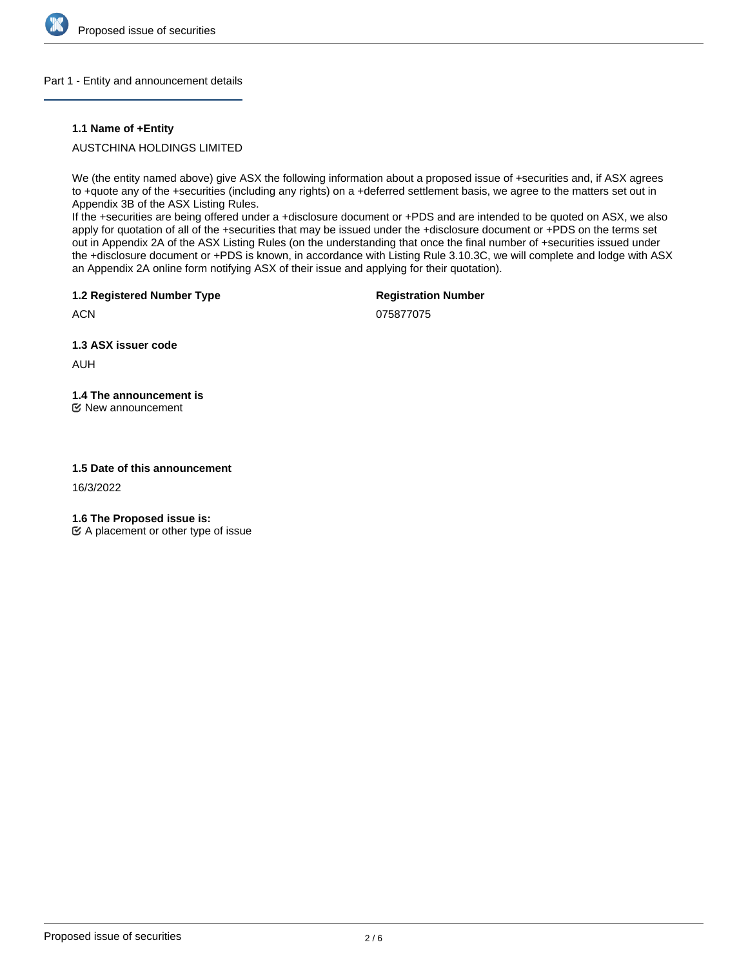

### Part 1 - Entity and announcement details

### **1.1 Name of +Entity**

# AUSTCHINA HOLDINGS LIMITED

We (the entity named above) give ASX the following information about a proposed issue of +securities and, if ASX agrees to +quote any of the +securities (including any rights) on a +deferred settlement basis, we agree to the matters set out in Appendix 3B of the ASX Listing Rules.

If the +securities are being offered under a +disclosure document or +PDS and are intended to be quoted on ASX, we also apply for quotation of all of the +securities that may be issued under the +disclosure document or +PDS on the terms set out in Appendix 2A of the ASX Listing Rules (on the understanding that once the final number of +securities issued under the +disclosure document or +PDS is known, in accordance with Listing Rule 3.10.3C, we will complete and lodge with ASX an Appendix 2A online form notifying ASX of their issue and applying for their quotation).

**1.2 Registered Number Type**

**Registration Number**

075877075

**1.3 ASX issuer code**

AUH

**ACN** 

# **1.4 The announcement is**

New announcement

### **1.5 Date of this announcement**

16/3/2022

**1.6 The Proposed issue is:**

 $\mathfrak{C}$  A placement or other type of issue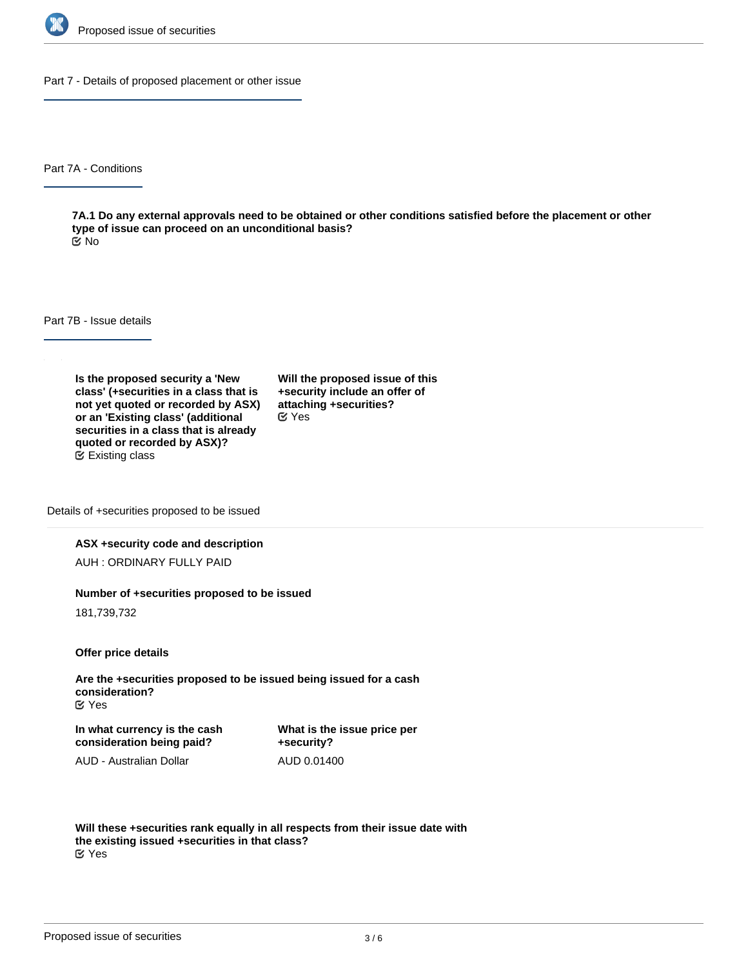

Part 7 - Details of proposed placement or other issue

Part 7A - Conditions

**7A.1 Do any external approvals need to be obtained or other conditions satisfied before the placement or other type of issue can proceed on an unconditional basis?** No

Part 7B - Issue details

**Is the proposed security a 'New class' (+securities in a class that is not yet quoted or recorded by ASX) or an 'Existing class' (additional securities in a class that is already quoted or recorded by ASX)?** Existing class

**Will the proposed issue of this +security include an offer of attaching +securities?** Yes

Details of +securities proposed to be issued

### **ASX +security code and description**

AUH : ORDINARY FULLY PAID

#### **Number of +securities proposed to be issued**

181,739,732

**Offer price details**

**Are the +securities proposed to be issued being issued for a cash consideration?** Yes

**In what currency is the cash consideration being paid?**

**What is the issue price per +security?** AUD 0.01400

AUD - Australian Dollar

**Will these +securities rank equally in all respects from their issue date with the existing issued +securities in that class?** Yes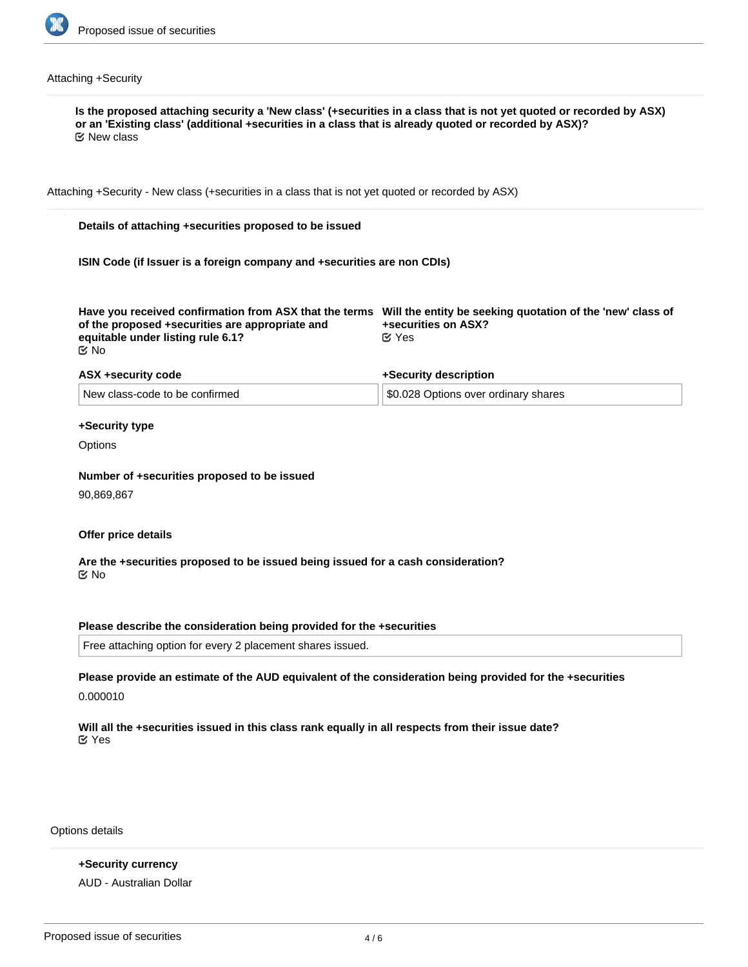

# Attaching +Security

| Attaching +Security - New class (+securities in a class that is not yet quoted or recorded by ASX)        |  |                                                                                                                                                                |  |
|-----------------------------------------------------------------------------------------------------------|--|----------------------------------------------------------------------------------------------------------------------------------------------------------------|--|
| Details of attaching +securities proposed to be issued                                                    |  |                                                                                                                                                                |  |
| ISIN Code (if Issuer is a foreign company and +securities are non CDIs)                                   |  |                                                                                                                                                                |  |
| of the proposed +securities are appropriate and<br>equitable under listing rule 6.1?<br>$\mathfrak{C}$ No |  | Have you received confirmation from ASX that the terms Will the entity be seeking quotation of the 'new' class of<br>+securities on ASX?<br>$\mathfrak{C}$ Yes |  |
| ASX +security code                                                                                        |  | +Security description                                                                                                                                          |  |
| New class-code to be confirmed                                                                            |  | \$0.028 Options over ordinary shares                                                                                                                           |  |
| +Security type                                                                                            |  |                                                                                                                                                                |  |
| Options                                                                                                   |  |                                                                                                                                                                |  |
|                                                                                                           |  |                                                                                                                                                                |  |
| Number of +securities proposed to be issued<br>90,869,867                                                 |  |                                                                                                                                                                |  |
|                                                                                                           |  |                                                                                                                                                                |  |
| Offer price details                                                                                       |  |                                                                                                                                                                |  |
| Are the +securities proposed to be issued being issued for a cash consideration?<br>় No                  |  |                                                                                                                                                                |  |
| Please describe the consideration being provided for the +securities                                      |  |                                                                                                                                                                |  |
| Free attaching option for every 2 placement shares issued.                                                |  |                                                                                                                                                                |  |
| 0.000010                                                                                                  |  | Please provide an estimate of the AUD equivalent of the consideration being provided for the +securities                                                       |  |

Options details

**+Security currency** AUD - Australian Dollar

**Exercise price Expiry date**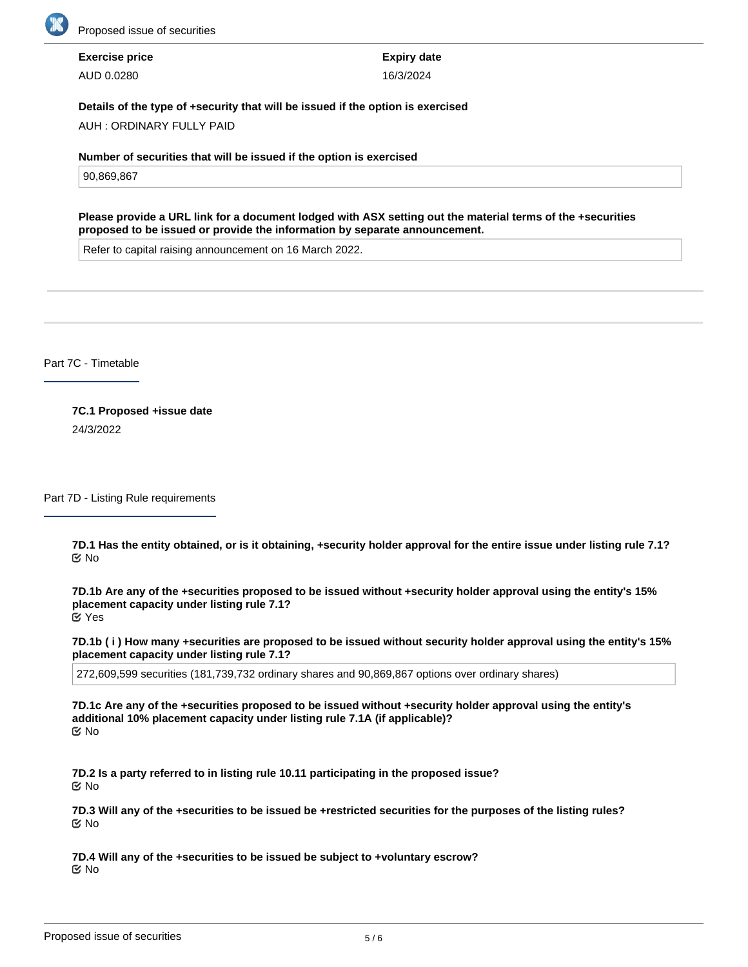

**Exercise price** AUD 0.0280

**Expiry date** 16/3/2024

### **Details of the type of +security that will be issued if the option is exercised**

AUH : ORDINARY FULLY PAID

**Number of securities that will be issued if the option is exercised**

90,869,867

**Please provide a URL link for a document lodged with ASX setting out the material terms of the +securities proposed to be issued or provide the information by separate announcement.**

Refer to capital raising announcement on 16 March 2022.

Part 7C - Timetable

**7C.1 Proposed +issue date** 24/3/2022

Part 7D - Listing Rule requirements

**7D.1 Has the entity obtained, or is it obtaining, +security holder approval for the entire issue under listing rule 7.1?** No

**7D.1b Are any of the +securities proposed to be issued without +security holder approval using the entity's 15% placement capacity under listing rule 7.1?** Yes

**7D.1b ( i ) How many +securities are proposed to be issued without security holder approval using the entity's 15% placement capacity under listing rule 7.1?**

272,609,599 securities (181,739,732 ordinary shares and 90,869,867 options over ordinary shares)

**7D.1c Are any of the +securities proposed to be issued without +security holder approval using the entity's additional 10% placement capacity under listing rule 7.1A (if applicable)?** No

**7D.2 Is a party referred to in listing rule 10.11 participating in the proposed issue?** No

**7D.3 Will any of the +securities to be issued be +restricted securities for the purposes of the listing rules?** No

**7D.4 Will any of the +securities to be issued be subject to +voluntary escrow?** No